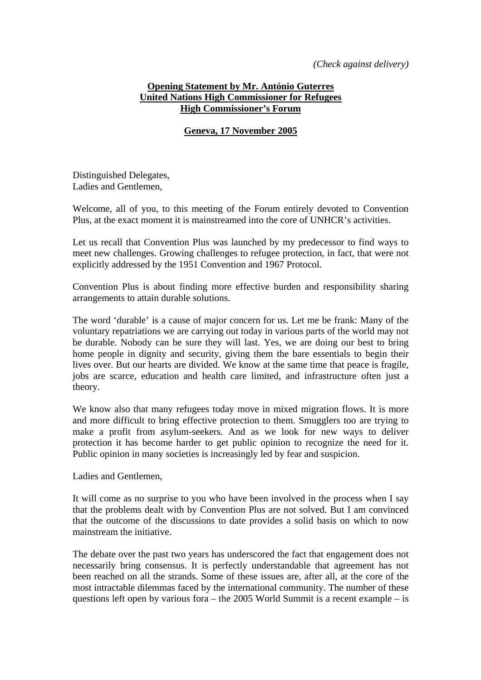*(Check against delivery)* 

## **Opening Statement by Mr. António Guterres United Nations High Commissioner for Refugees High Commissioner's Forum**

## **Geneva, 17 November 2005**

Distinguished Delegates, Ladies and Gentlemen,

Welcome, all of you, to this meeting of the Forum entirely devoted to Convention Plus, at the exact moment it is mainstreamed into the core of UNHCR's activities.

Let us recall that Convention Plus was launched by my predecessor to find ways to meet new challenges. Growing challenges to refugee protection, in fact, that were not explicitly addressed by the 1951 Convention and 1967 Protocol.

Convention Plus is about finding more effective burden and responsibility sharing arrangements to attain durable solutions.

The word 'durable' is a cause of major concern for us. Let me be frank: Many of the voluntary repatriations we are carrying out today in various parts of the world may not be durable. Nobody can be sure they will last. Yes, we are doing our best to bring home people in dignity and security, giving them the bare essentials to begin their lives over. But our hearts are divided. We know at the same time that peace is fragile, jobs are scarce, education and health care limited, and infrastructure often just a theory.

We know also that many refugees today move in mixed migration flows. It is more and more difficult to bring effective protection to them. Smugglers too are trying to make a profit from asylum-seekers. And as we look for new ways to deliver protection it has become harder to get public opinion to recognize the need for it. Public opinion in many societies is increasingly led by fear and suspicion.

## Ladies and Gentlemen,

It will come as no surprise to you who have been involved in the process when I say that the problems dealt with by Convention Plus are not solved. But I am convinced that the outcome of the discussions to date provides a solid basis on which to now mainstream the initiative.

The debate over the past two years has underscored the fact that engagement does not necessarily bring consensus. It is perfectly understandable that agreement has not been reached on all the strands. Some of these issues are, after all, at the core of the most intractable dilemmas faced by the international community. The number of these questions left open by various fora – the 2005 World Summit is a recent example – is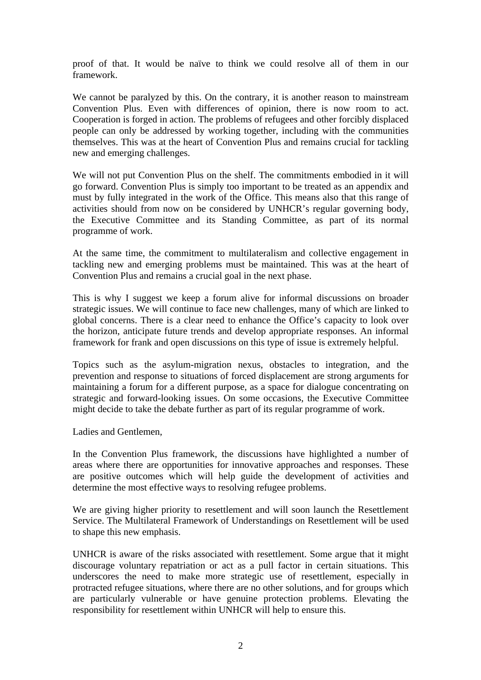proof of that. It would be naïve to think we could resolve all of them in our framework.

We cannot be paralyzed by this. On the contrary, it is another reason to mainstream Convention Plus. Even with differences of opinion, there is now room to act. Cooperation is forged in action. The problems of refugees and other forcibly displaced people can only be addressed by working together, including with the communities themselves. This was at the heart of Convention Plus and remains crucial for tackling new and emerging challenges.

We will not put Convention Plus on the shelf. The commitments embodied in it will go forward. Convention Plus is simply too important to be treated as an appendix and must by fully integrated in the work of the Office. This means also that this range of activities should from now on be considered by UNHCR's regular governing body, the Executive Committee and its Standing Committee, as part of its normal programme of work.

At the same time, the commitment to multilateralism and collective engagement in tackling new and emerging problems must be maintained. This was at the heart of Convention Plus and remains a crucial goal in the next phase.

This is why I suggest we keep a forum alive for informal discussions on broader strategic issues. We will continue to face new challenges, many of which are linked to global concerns. There is a clear need to enhance the Office's capacity to look over the horizon, anticipate future trends and develop appropriate responses. An informal framework for frank and open discussions on this type of issue is extremely helpful.

Topics such as the asylum-migration nexus, obstacles to integration, and the prevention and response to situations of forced displacement are strong arguments for maintaining a forum for a different purpose, as a space for dialogue concentrating on strategic and forward-looking issues. On some occasions, the Executive Committee might decide to take the debate further as part of its regular programme of work.

Ladies and Gentlemen,

In the Convention Plus framework, the discussions have highlighted a number of areas where there are opportunities for innovative approaches and responses. These are positive outcomes which will help guide the development of activities and determine the most effective ways to resolving refugee problems.

We are giving higher priority to resettlement and will soon launch the Resettlement Service. The Multilateral Framework of Understandings on Resettlement will be used to shape this new emphasis.

UNHCR is aware of the risks associated with resettlement. Some argue that it might discourage voluntary repatriation or act as a pull factor in certain situations. This underscores the need to make more strategic use of resettlement, especially in protracted refugee situations, where there are no other solutions, and for groups which are particularly vulnerable or have genuine protection problems. Elevating the responsibility for resettlement within UNHCR will help to ensure this.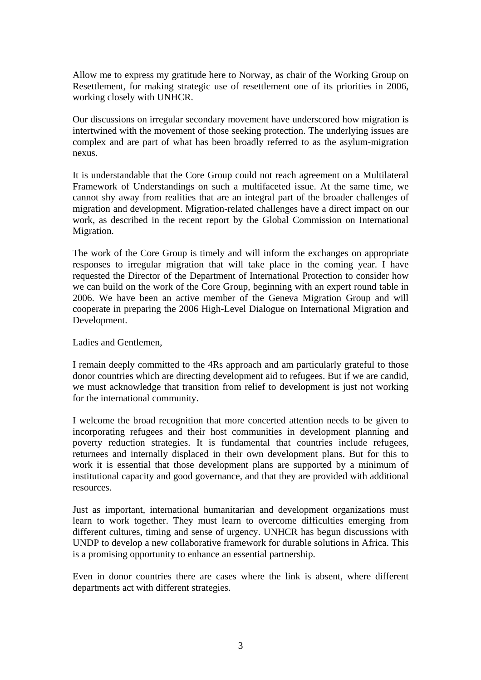Allow me to express my gratitude here to Norway, as chair of the Working Group on Resettlement, for making strategic use of resettlement one of its priorities in 2006, working closely with UNHCR.

Our discussions on irregular secondary movement have underscored how migration is intertwined with the movement of those seeking protection. The underlying issues are complex and are part of what has been broadly referred to as the asylum-migration nexus.

It is understandable that the Core Group could not reach agreement on a Multilateral Framework of Understandings on such a multifaceted issue. At the same time, we cannot shy away from realities that are an integral part of the broader challenges of migration and development. Migration-related challenges have a direct impact on our work, as described in the recent report by the Global Commission on International Migration.

The work of the Core Group is timely and will inform the exchanges on appropriate responses to irregular migration that will take place in the coming year. I have requested the Director of the Department of International Protection to consider how we can build on the work of the Core Group, beginning with an expert round table in 2006. We have been an active member of the Geneva Migration Group and will cooperate in preparing the 2006 High-Level Dialogue on International Migration and Development.

Ladies and Gentlemen,

I remain deeply committed to the 4Rs approach and am particularly grateful to those donor countries which are directing development aid to refugees. But if we are candid, we must acknowledge that transition from relief to development is just not working for the international community.

I welcome the broad recognition that more concerted attention needs to be given to incorporating refugees and their host communities in development planning and poverty reduction strategies. It is fundamental that countries include refugees, returnees and internally displaced in their own development plans. But for this to work it is essential that those development plans are supported by a minimum of institutional capacity and good governance, and that they are provided with additional resources.

Just as important, international humanitarian and development organizations must learn to work together. They must learn to overcome difficulties emerging from different cultures, timing and sense of urgency. UNHCR has begun discussions with UNDP to develop a new collaborative framework for durable solutions in Africa. This is a promising opportunity to enhance an essential partnership.

Even in donor countries there are cases where the link is absent, where different departments act with different strategies.